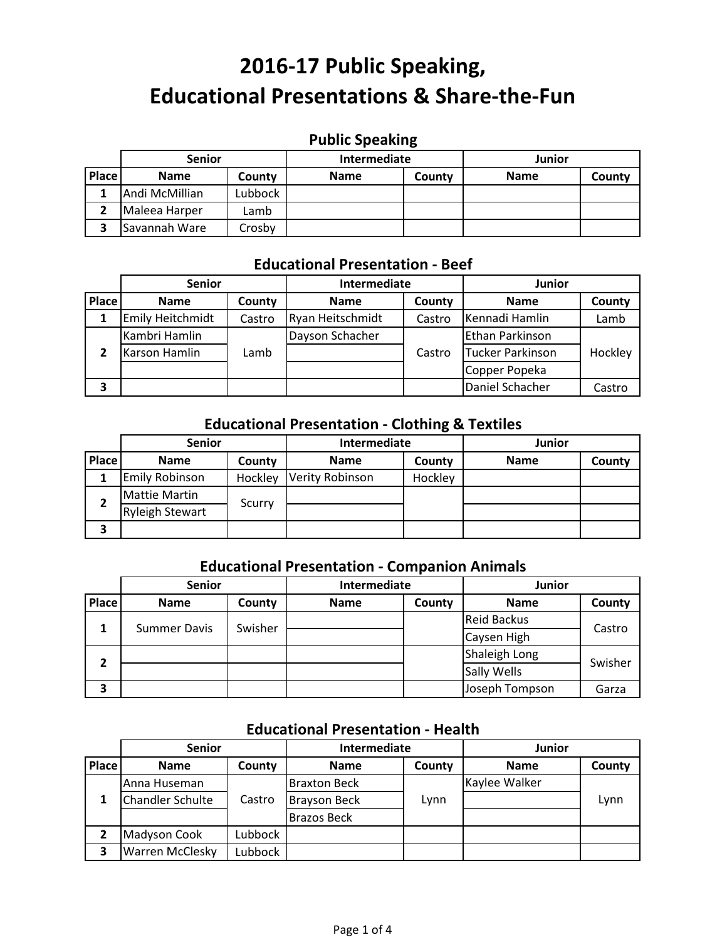## **Public Speaking**

|       | <b>Senior</b>        |         | Intermediate |        | Junior      |        |
|-------|----------------------|---------|--------------|--------|-------------|--------|
| Place | <b>Name</b>          | County  | <b>Name</b>  | County | <b>Name</b> | County |
|       | Andi McMillian       | Lubbock |              |        |             |        |
|       | Maleea Harper        | Lamb    |              |        |             |        |
|       | <b>Savannah Ware</b> | Crosby  |              |        |             |        |

### **Educational Presentation ‐ Beef**

|       | <b>Senior</b>           |        | Intermediate     |        | <b>Junior</b>    |         |
|-------|-------------------------|--------|------------------|--------|------------------|---------|
| Place | <b>Name</b>             | County | <b>Name</b>      | County | <b>Name</b>      | County  |
|       | <b>Emily Heitchmidt</b> | Castro | Ryan Heitschmidt | Castro | Kennadi Hamlin   | Lamb    |
|       | Kambri Hamlin           |        | Dayson Schacher  |        | Ethan Parkinson  |         |
|       | Karson Hamlin           | Lamb   |                  | Castro | Tucker Parkinson | Hockley |
|       |                         |        |                  |        | Copper Popeka    |         |
| 3     |                         |        |                  |        | Daniel Schacher  | Castro  |

## **Educational Presentation ‐ Clothing & Textiles**

|              | <b>Senior</b>          |         | Intermediate           |         | Junior      |        |
|--------------|------------------------|---------|------------------------|---------|-------------|--------|
| <b>Place</b> | <b>Name</b>            | County  | <b>Name</b>            | County  | <b>Name</b> | County |
|              | <b>Emily Robinson</b>  | Hockley | <b>Verity Robinson</b> | Hockley |             |        |
| 2            | <b>Mattie Martin</b>   | Scurry  |                        |         |             |        |
|              | <b>Ryleigh Stewart</b> |         |                        |         |             |        |
| 3            |                        |         |                        |         |             |        |

### **Educational Presentation ‐ Companion Animals**

|       | <b>Senior</b>       |         | Intermediate |        | <b>Junior</b>      |         |
|-------|---------------------|---------|--------------|--------|--------------------|---------|
| Place | <b>Name</b>         | County  | <b>Name</b>  | County | <b>Name</b>        | County  |
| 1     | <b>Summer Davis</b> | Swisher |              |        | <b>Reid Backus</b> | Castro  |
|       |                     |         |              |        | Caysen High        |         |
| 2     |                     |         |              |        | Shaleigh Long      | Swisher |
|       |                     |         |              |        | <b>Sally Wells</b> |         |
| З     |                     |         |              |        | Joseph Tompson     | Garza   |

### **Educational Presentation ‐ Health**

|              | <b>Senior</b>           |         | Intermediate        |        | Junior        |        |
|--------------|-------------------------|---------|---------------------|--------|---------------|--------|
| <b>Place</b> | <b>Name</b>             | County  | <b>Name</b>         | County | <b>Name</b>   | County |
|              | Anna Huseman            |         | <b>Braxton Beck</b> |        | Kaylee Walker |        |
|              | <b>Chandler Schulte</b> | Castro  | <b>Brayson Beck</b> | Lynn   |               | Lynn   |
|              |                         |         | <b>Brazos Beck</b>  |        |               |        |
|              | Madyson Cook            | Lubbock |                     |        |               |        |
| 3            | <b>Warren McClesky</b>  | Lubbock |                     |        |               |        |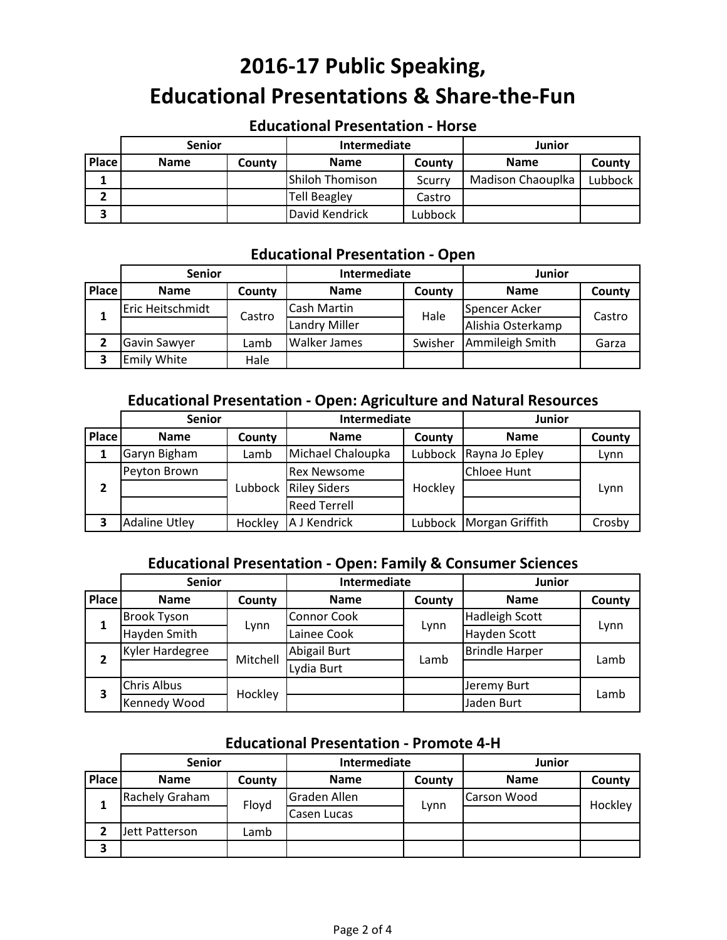### **Educational Presentation ‐ Horse**

|       | <b>Senior</b> |        | Intermediate           |         | Junior            |         |
|-------|---------------|--------|------------------------|---------|-------------------|---------|
| Place | <b>Name</b>   | County | <b>Name</b>            | County  | <b>Name</b>       | County  |
|       |               |        | <b>Shiloh Thomison</b> | Scurry  | Madison Chaouplka | Lubbock |
|       |               |        | <b>Tell Beagley</b>    | Castro  |                   |         |
| 3     |               |        | David Kendrick         | Lubbock |                   |         |

#### **Educational Presentation ‐ Open**

|       | <b>Senior</b>      |        | Intermediate         |         | Junior            |        |
|-------|--------------------|--------|----------------------|---------|-------------------|--------|
| Place | <b>Name</b>        | County | <b>Name</b>          | County  | <b>Name</b>       | County |
|       | Eric Heitschmidt   |        | Cash Martin          | Hale    | Spencer Acker     | Castro |
|       |                    | Castro | <b>Landry Miller</b> |         | Alishia Osterkamp |        |
|       | Gavin Sawyer       | Lamb   | <b>Walker James</b>  | Swisher | Ammileigh Smith   | Garza  |
|       | <b>Emily White</b> | Hale   |                      |         |                   |        |

### **Educational Presentation ‐ Open: Agriculture and Natural Resources**

|              | <b>Senior</b>        |         | Intermediate         |         | Junior                    |        |
|--------------|----------------------|---------|----------------------|---------|---------------------------|--------|
| <b>Place</b> | <b>Name</b>          | County  | <b>Name</b>          | County  | <b>Name</b>               | County |
|              | Garyn Bigham         | Lamb    | Michael Chaloupka    |         | Lubbock Rayna Jo Epley    | Lynn   |
|              | Peyton Brown         |         | <b>Rex Newsome</b>   |         | Chloee Hunt               |        |
| 2            |                      |         | Lubbock Riley Siders | Hockley |                           | Lynn   |
|              |                      |         | <b>Reed Terrell</b>  |         |                           |        |
| 3            | <b>Adaline Utley</b> | Hockley | A J Kendrick         |         | Lubbock   Morgan Griffith | Crosby |

## **Educational Presentation ‐ Open: Family & Consumer Sciences**

|              | <b>Senior</b>      |          | Intermediate       |        | Junior                |        |
|--------------|--------------------|----------|--------------------|--------|-----------------------|--------|
| <b>Place</b> | <b>Name</b>        | County   | <b>Name</b>        | County | <b>Name</b>           | County |
|              | <b>Brook Tyson</b> | Lynn     | <b>Connor Cook</b> |        | <b>Hadleigh Scott</b> |        |
| 1            | Hayden Smith       |          | Lainee Cook        | Lynn   | Hayden Scott          | Lynn   |
| 2            | Kyler Hardegree    | Mitchell | Abigail Burt       | Lamb   | <b>Brindle Harper</b> | Lamb   |
|              |                    |          | Lydia Burt         |        |                       |        |
| 3            | <b>Chris Albus</b> |          |                    |        | Jeremy Burt           | Lamb   |
|              | Kennedy Wood       | Hockley  |                    |        | Jaden Burt            |        |

#### **Educational Presentation ‐ Promote 4‐H**

|       | <b>Senior</b>  |        | Intermediate |        | Junior      |         |
|-------|----------------|--------|--------------|--------|-------------|---------|
| Place | <b>Name</b>    | County | <b>Name</b>  | County | <b>Name</b> | County  |
|       | Rachely Graham |        | Graden Allen |        | Carson Wood | Hockley |
|       |                | Floyd  | Casen Lucas  | Lynn   |             |         |
|       | Jett Patterson | Lamb   |              |        |             |         |
| 3     |                |        |              |        |             |         |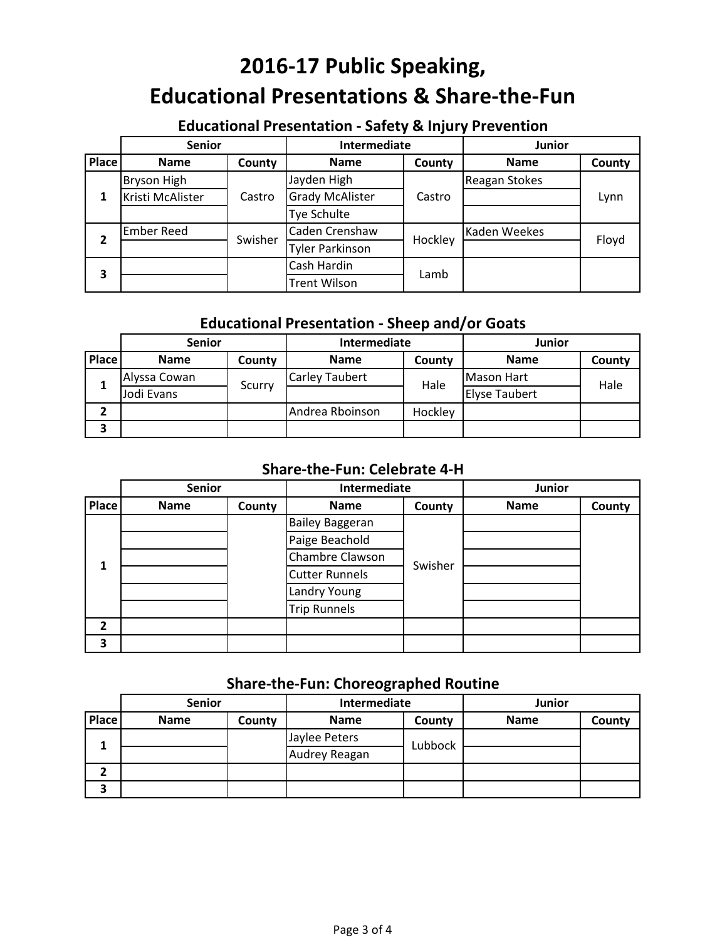## **Educational Presentation ‐ Safety & Injury Prevention**

|              | <b>Senior</b>      |         | Intermediate           |         | Junior        |        |
|--------------|--------------------|---------|------------------------|---------|---------------|--------|
| <b>Place</b> | <b>Name</b>        | County  | <b>Name</b>            | County  | <b>Name</b>   | County |
|              | <b>Bryson High</b> |         | Jayden High            |         | Reagan Stokes |        |
|              | Kristi McAlister   | Castro  | <b>Grady McAlister</b> | Castro  |               | Lynn   |
|              |                    |         | Tye Schulte            |         |               |        |
| 2            | <b>Ember Reed</b>  | Swisher | Caden Crenshaw         | Hockley | Kaden Weekes  | Floyd  |
|              |                    |         | <b>Tyler Parkinson</b> |         |               |        |
| 3            |                    |         | Cash Hardin            | Lamb    |               |        |
|              |                    |         | <b>Trent Wilson</b>    |         |               |        |

## **Educational Presentation ‐ Sheep and/or Goats**

|       | <b>Senior</b> |                       | Intermediate    |                   | Junior               |        |
|-------|---------------|-----------------------|-----------------|-------------------|----------------------|--------|
| Place | <b>Name</b>   | County                | <b>Name</b>     | County            | <b>Name</b>          | County |
|       | Alyssa Cowan  | <b>Carley Taubert</b> | Hale            | <b>Mason Hart</b> |                      |        |
|       | Jodi Evans    | Scurry                |                 |                   | <b>Elyse Taubert</b> | Hale   |
|       |               |                       | Andrea Rboinson | Hockley           |                      |        |
| 3     |               |                       |                 |                   |                      |        |

### **Share‐the‐Fun: Celebrate 4‐H**

|                | <b>Senior</b> |        | Intermediate           |         | Junior      |        |
|----------------|---------------|--------|------------------------|---------|-------------|--------|
| <b>Place</b>   | <b>Name</b>   | County | <b>Name</b>            | County  | <b>Name</b> | County |
|                |               |        | <b>Bailey Baggeran</b> |         |             |        |
|                |               |        | Paige Beachold         |         |             |        |
| 1              |               |        | Chambre Clawson        | Swisher |             |        |
|                |               |        | <b>Cutter Runnels</b>  |         |             |        |
|                |               |        | Landry Young           |         |             |        |
|                |               |        | <b>Trip Runnels</b>    |         |             |        |
| $\overline{2}$ |               |        |                        |         |             |        |
| 3              |               |        |                        |         |             |        |

## **Share‐the‐Fun: Choreographed Routine**

|       | <b>Senior</b> |        | Intermediate  |         | Junior      |        |
|-------|---------------|--------|---------------|---------|-------------|--------|
| Place | <b>Name</b>   | County | <b>Name</b>   | County  | <b>Name</b> | County |
|       |               |        | Jaylee Peters | Lubbock |             |        |
|       |               |        | Audrey Reagan |         |             |        |
| 2     |               |        |               |         |             |        |
| З     |               |        |               |         |             |        |